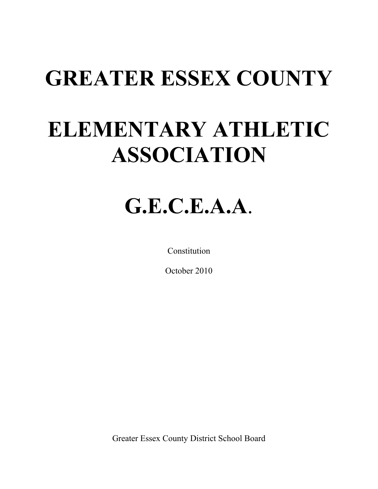# **GREATER ESSEX COUNTY**

# **ELEMENTARY ATHLETIC ASSOCIATION**

# **G.E.C.E.A.A**.

Constitution

October 2010

Greater Essex County District School Board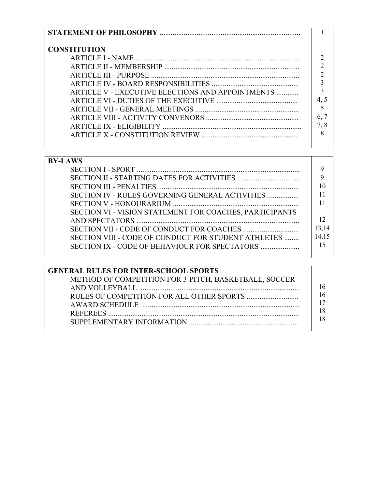| <b>CONSTITUTION</b>                              |    |
|--------------------------------------------------|----|
|                                                  |    |
|                                                  |    |
|                                                  |    |
|                                                  |    |
| ARTICLE V - EXECUTIVE ELECTIONS AND APPOINTMENTS |    |
|                                                  |    |
|                                                  |    |
|                                                  | 6. |
|                                                  |    |
|                                                  | 8  |
|                                                  |    |

| <b>BY-LAWS</b>                                          |       |
|---------------------------------------------------------|-------|
|                                                         | Q     |
|                                                         |       |
|                                                         |       |
| SECTION IV - RULES GOVERNING GENERAL ACTIVITIES         |       |
|                                                         |       |
| SECTION VI - VISION STATEMENT FOR COACHES, PARTICIPANTS |       |
|                                                         |       |
|                                                         | 13,14 |
| SECTION VIII - CODE OF CONDUCT FOR STUDENT ATHLETES     | 14,15 |
| SECTION IX - CODE OF BEHAVIOUR FOR SPECTATORS           | 15    |
|                                                         |       |

| <b>GENERAL RULES FOR INTER-SCHOOL SPORTS</b>          |  |
|-------------------------------------------------------|--|
| METHOD OF COMPETITION FOR 3-PITCH, BASKETBALL, SOCCER |  |
|                                                       |  |
|                                                       |  |
|                                                       |  |
|                                                       |  |
|                                                       |  |
|                                                       |  |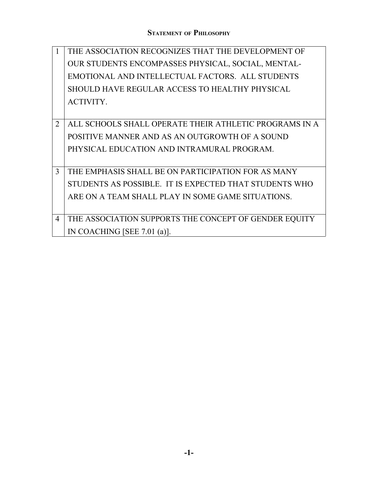|                | THE ASSOCIATION RECOGNIZES THAT THE DEVELOPMENT OF     |
|----------------|--------------------------------------------------------|
|                | OUR STUDENTS ENCOMPASSES PHYSICAL, SOCIAL, MENTAL-     |
|                | EMOTIONAL AND INTELLECTUAL FACTORS. ALL STUDENTS       |
|                | SHOULD HAVE REGULAR ACCESS TO HEALTHY PHYSICAL         |
|                | <b>ACTIVITY.</b>                                       |
|                |                                                        |
| 2              | ALL SCHOOLS SHALL OPERATE THEIR ATHLETIC PROGRAMS IN A |
|                | POSITIVE MANNER AND AS AN OUTGROWTH OF A SOUND         |
|                | PHYSICAL EDUCATION AND INTRAMURAL PROGRAM.             |
|                |                                                        |
| 3              | THE EMPHASIS SHALL BE ON PARTICIPATION FOR AS MANY     |
|                | STUDENTS AS POSSIBLE. IT IS EXPECTED THAT STUDENTS WHO |
|                | ARE ON A TEAM SHALL PLAY IN SOME GAME SITUATIONS.      |
|                |                                                        |
| $\overline{4}$ | THE ASSOCIATION SUPPORTS THE CONCEPT OF GENDER EQUITY  |
|                | IN COACHING [SEE 7.01 (a)].                            |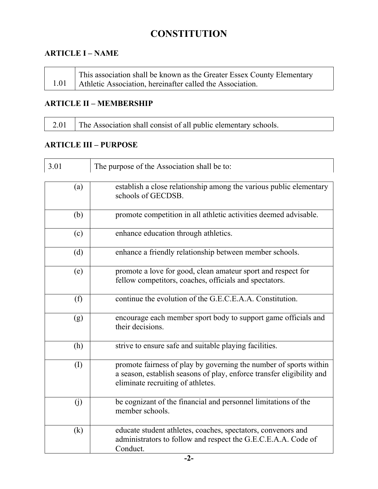# **CONSTITUTION**

#### **ARTICLE I – NAME**

| This association shall be known as the Greater Essex County Elementary |
|------------------------------------------------------------------------|
| 1.01   Athletic Association, hereinafter called the Association.       |

#### **ARTICLE II – MEMBERSHIP**

|  | 2.01 The Association shall consist of all public elementary schools. |
|--|----------------------------------------------------------------------|
|--|----------------------------------------------------------------------|

#### **ARTICLE III – PURPOSE**

| 3.01 | The purpose of the Association shall be to:                                                                                                                                     |
|------|---------------------------------------------------------------------------------------------------------------------------------------------------------------------------------|
| (a)  | establish a close relationship among the various public elementary<br>schools of GECDSB.                                                                                        |
| (b)  | promote competition in all athletic activities deemed advisable.                                                                                                                |
| (c)  | enhance education through athletics.                                                                                                                                            |
| (d)  | enhance a friendly relationship between member schools.                                                                                                                         |
| (e)  | promote a love for good, clean amateur sport and respect for<br>fellow competitors, coaches, officials and spectators.                                                          |
| (f)  | continue the evolution of the G.E.C.E.A.A. Constitution.                                                                                                                        |
| (g)  | encourage each member sport body to support game officials and<br>their decisions.                                                                                              |
| (h)  | strive to ensure safe and suitable playing facilities.                                                                                                                          |
| (I)  | promote fairness of play by governing the number of sports within<br>a season, establish seasons of play, enforce transfer eligibility and<br>eliminate recruiting of athletes. |
| (j)  | be cognizant of the financial and personnel limitations of the<br>member schools.                                                                                               |
| (k)  | educate student athletes, coaches, spectators, convenors and<br>administrators to follow and respect the G.E.C.E.A.A. Code of<br>Conduct.                                       |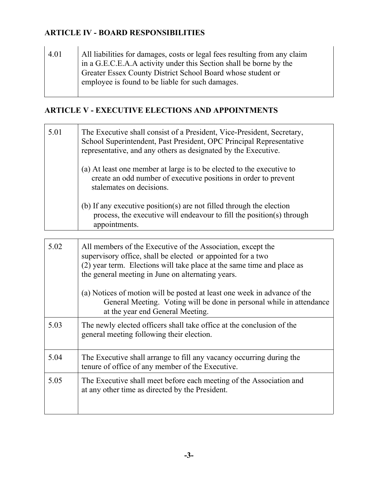#### **ARTICLE IV - BOARD RESPONSIBILITIES**

4.01 All liabilities for damages, costs or legal fees resulting from any claim in a G.E.C.E.A.A activity under this Section shall be borne by the Greater Essex County District School Board whose student or employee is found to be liable for such damages.

#### **ARTICLE V - EXECUTIVE ELECTIONS AND APPOINTMENTS**

| The Executive shall consist of a President, Vice-President, Secretary,<br>School Superintendent, Past President, OPC Principal Representative<br>representative, and any others as designated by the Executive.<br>(a) At least one member at large is to be elected to the executive to<br>create an odd number of executive positions in order to prevent<br>stalemates on decisions. |
|-----------------------------------------------------------------------------------------------------------------------------------------------------------------------------------------------------------------------------------------------------------------------------------------------------------------------------------------------------------------------------------------|
| (b) If any executive position(s) are not filled through the election<br>process, the executive will endeavour to fill the position(s) through<br>appointments.                                                                                                                                                                                                                          |
|                                                                                                                                                                                                                                                                                                                                                                                         |

| 5.02 | All members of the Executive of the Association, except the<br>supervisory office, shall be elected or appointed for a two<br>(2) year term. Elections will take place at the same time and place as<br>the general meeting in June on alternating years. |
|------|-----------------------------------------------------------------------------------------------------------------------------------------------------------------------------------------------------------------------------------------------------------|
|      | (a) Notices of motion will be posted at least one week in advance of the<br>General Meeting. Voting will be done in personal while in attendance<br>at the year end General Meeting.                                                                      |
| 5.03 | The newly elected officers shall take office at the conclusion of the<br>general meeting following their election.                                                                                                                                        |
| 5.04 | The Executive shall arrange to fill any vacancy occurring during the<br>tenure of office of any member of the Executive.                                                                                                                                  |
| 5.05 | The Executive shall meet before each meeting of the Association and<br>at any other time as directed by the President.                                                                                                                                    |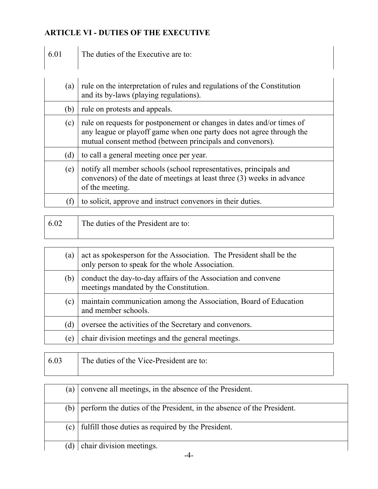# **ARTICLE VI - DUTIES OF THE EXECUTIVE**

 $\epsilon$ 

| The duties of the Executive are to:<br>6.01 |
|---------------------------------------------|
|---------------------------------------------|

| (a) | rule on the interpretation of rules and regulations of the Constitution<br>and its by-laws (playing regulations).                                                                                          |
|-----|------------------------------------------------------------------------------------------------------------------------------------------------------------------------------------------------------------|
| (b) | rule on protests and appeals.                                                                                                                                                                              |
| (c) | rule on requests for postponement or changes in dates and/or times of<br>any league or playoff game when one party does not agree through the<br>mutual consent method (between principals and convenors). |
| (d) | to call a general meeting once per year.                                                                                                                                                                   |
| (e) | notify all member schools (school representatives, principals and<br>convenors) of the date of meetings at least three (3) weeks in advance<br>of the meeting.                                             |
| (f) | to solicit, approve and instruct convenors in their duties.                                                                                                                                                |

| 6.02 | The duties of the President are to: |
|------|-------------------------------------|
|      |                                     |

| (a) | act as spokesperson for the Association. The President shall be the<br>only person to speak for the whole Association. |
|-----|------------------------------------------------------------------------------------------------------------------------|
| (b) | conduct the day-to-day affairs of the Association and convene<br>meetings mandated by the Constitution.                |
| (c) | maintain communication among the Association, Board of Education<br>and member schools.                                |
| (d) | oversee the activities of the Secretary and convenors.                                                                 |
| (e) | chair division meetings and the general meetings.                                                                      |

| 6.03 | The duties of the Vice-President are to: |
|------|------------------------------------------|
|      |                                          |

| a)         | convene all meetings, in the absence of the President.                |
|------------|-----------------------------------------------------------------------|
| (b)        | perform the duties of the President, in the absence of the President. |
| $\alpha$ ) | fulfill those duties as required by the President.                    |
| (d)        | chair division meetings.                                              |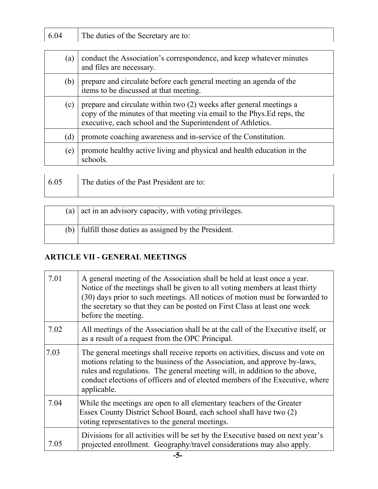| 6.04 | The duties of the Secretary are to:                                                                                                                                                                           |
|------|---------------------------------------------------------------------------------------------------------------------------------------------------------------------------------------------------------------|
|      |                                                                                                                                                                                                               |
| (a)  | conduct the Association's correspondence, and keep whatever minutes<br>and files are necessary.                                                                                                               |
| (b)  | prepare and circulate before each general meeting an agenda of the<br>items to be discussed at that meeting.                                                                                                  |
| (c)  | prepare and circulate within two (2) weeks after general meetings a<br>copy of the minutes of that meeting via email to the Phys. Ed reps, the<br>executive, each school and the Superintendent of Athletics. |
| (d)  | promote coaching awareness and in-service of the Constitution.                                                                                                                                                |
| (e)  | promote healthy active living and physical and health education in the<br>schools.                                                                                                                            |
|      |                                                                                                                                                                                                               |

| 6.05 | The duties of the Past President are to: |
|------|------------------------------------------|
|      |                                          |

| (a) | act in an advisory capacity, with voting privileges.       |
|-----|------------------------------------------------------------|
|     | $(b)$   fulfill those duties as assigned by the President. |

# **ARTICLE VII - GENERAL MEETINGS**

| 7.01 | A general meeting of the Association shall be held at least once a year.<br>Notice of the meetings shall be given to all voting members at least thirty<br>(30) days prior to such meetings. All notices of motion must be forwarded to<br>the secretary so that they can be posted on First Class at least one week<br>before the meeting. |
|------|---------------------------------------------------------------------------------------------------------------------------------------------------------------------------------------------------------------------------------------------------------------------------------------------------------------------------------------------|
| 7.02 | All meetings of the Association shall be at the call of the Executive itself, or<br>as a result of a request from the OPC Principal.                                                                                                                                                                                                        |
| 7.03 | The general meetings shall receive reports on activities, discuss and vote on<br>motions relating to the business of the Association, and approve by-laws,<br>rules and regulations. The general meeting will, in addition to the above,<br>conduct elections of officers and of elected members of the Executive, where<br>applicable.     |
| 7.04 | While the meetings are open to all elementary teachers of the Greater<br>Essex County District School Board, each school shall have two (2)<br>voting representatives to the general meetings.                                                                                                                                              |
| 7.05 | Divisions for all activities will be set by the Executive based on next year's<br>projected enrollment. Geography/travel considerations may also apply.                                                                                                                                                                                     |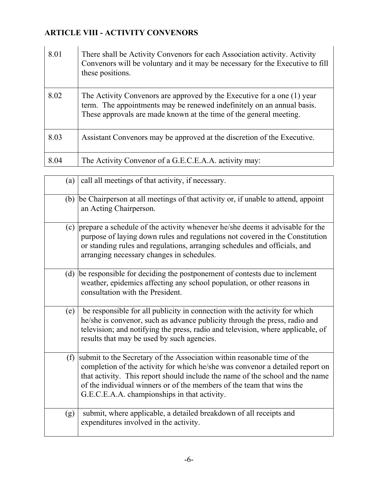# **ARTICLE VIII - ACTIVITY CONVENORS**

| 8.01 | There shall be Activity Convenors for each Association activity. Activity<br>Convenors will be voluntary and it may be necessary for the Executive to fill<br>these positions.                                          |
|------|-------------------------------------------------------------------------------------------------------------------------------------------------------------------------------------------------------------------------|
| 8.02 | The Activity Convenors are approved by the Executive for a one (1) year<br>term. The appointments may be renewed indefinitely on an annual basis.<br>These approvals are made known at the time of the general meeting. |
| 8.03 | Assistant Convenors may be approved at the discretion of the Executive.                                                                                                                                                 |
| 8.04 | The Activity Convenor of a G.E.C.E.A.A. activity may:                                                                                                                                                                   |

| (a) | call all meetings of that activity, if necessary.                                                                                                                                                                                                                                                                                                                   |
|-----|---------------------------------------------------------------------------------------------------------------------------------------------------------------------------------------------------------------------------------------------------------------------------------------------------------------------------------------------------------------------|
| (b) | be Chairperson at all meetings of that activity or, if unable to attend, appoint<br>an Acting Chairperson.                                                                                                                                                                                                                                                          |
| (c) | prepare a schedule of the activity whenever he/she deems it advisable for the<br>purpose of laying down rules and regulations not covered in the Constitution<br>or standing rules and regulations, arranging schedules and officials, and<br>arranging necessary changes in schedules.                                                                             |
| (d) | be responsible for deciding the postponement of contests due to inclement<br>weather, epidemics affecting any school population, or other reasons in<br>consultation with the President.                                                                                                                                                                            |
| (e) | be responsible for all publicity in connection with the activity for which<br>he/she is convenor, such as advance publicity through the press, radio and<br>television; and notifying the press, radio and television, where applicable, of<br>results that may be used by such agencies.                                                                           |
| (f) | submit to the Secretary of the Association within reasonable time of the<br>completion of the activity for which he/she was convenor a detailed report on<br>that activity. This report should include the name of the school and the name<br>of the individual winners or of the members of the team that wins the<br>G.E.C.E.A.A. championships in that activity. |
| (g) | submit, where applicable, a detailed breakdown of all receipts and<br>expenditures involved in the activity.                                                                                                                                                                                                                                                        |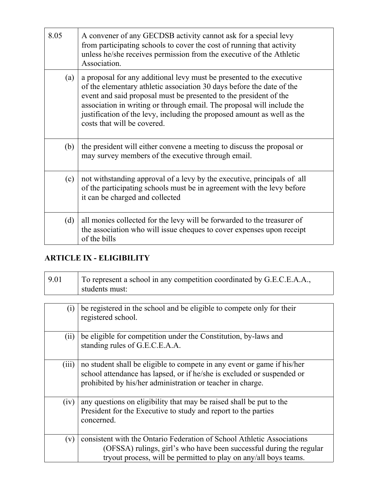| 8.05 | A convener of any GECDSB activity cannot ask for a special levy<br>from participating schools to cover the cost of running that activity<br>unless he/she receives permission from the executive of the Athletic<br>Association.                                                                                                                                                                        |
|------|---------------------------------------------------------------------------------------------------------------------------------------------------------------------------------------------------------------------------------------------------------------------------------------------------------------------------------------------------------------------------------------------------------|
| (a)  | a proposal for any additional levy must be presented to the executive<br>of the elementary athletic association 30 days before the date of the<br>event and said proposal must be presented to the president of the<br>association in writing or through email. The proposal will include the<br>justification of the levy, including the proposed amount as well as the<br>costs that will be covered. |
| (b)  | the president will either convene a meeting to discuss the proposal or<br>may survey members of the executive through email.                                                                                                                                                                                                                                                                            |
| (c)  | not with standing approval of a levy by the executive, principals of all<br>of the participating schools must be in agreement with the levy before<br>it can be charged and collected                                                                                                                                                                                                                   |
| (d)  | all monies collected for the levy will be forwarded to the treasurer of<br>the association who will issue cheques to cover expenses upon receipt<br>of the bills                                                                                                                                                                                                                                        |

## **ARTICLE IX - ELIGIBILITY**

| 9.01  | To represent a school in any competition coordinated by G.E.C.E.A.A.,<br>students must:                                                                                                                           |
|-------|-------------------------------------------------------------------------------------------------------------------------------------------------------------------------------------------------------------------|
|       |                                                                                                                                                                                                                   |
| (i)   | be registered in the school and be eligible to compete only for their<br>registered school.                                                                                                                       |
| (ii)  | be eligible for competition under the Constitution, by-laws and<br>standing rules of G.E.C.E.A.A.                                                                                                                 |
| (iii) | no student shall be eligible to compete in any event or game if his/her<br>school attendance has lapsed, or if he/she is excluded or suspended or<br>prohibited by his/her administration or teacher in charge.   |
| (iv)  | any questions on eligibility that may be raised shall be put to the<br>President for the Executive to study and report to the parties<br>concerned.                                                               |
| (v)   | consistent with the Ontario Federation of School Athletic Associations<br>(OFSSA) rulings, girl's who have been successful during the regular<br>tryout process, will be permitted to play on any/all boys teams. |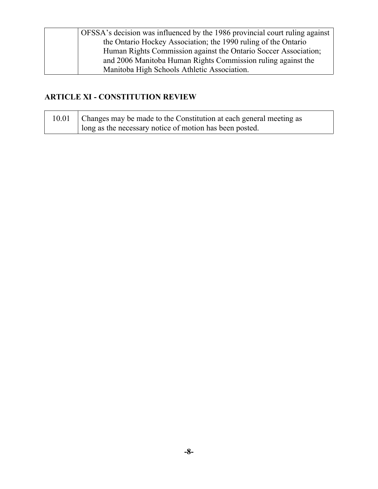| OFSSA's decision was influenced by the 1986 provincial court ruling against |
|-----------------------------------------------------------------------------|
| the Ontario Hockey Association; the 1990 ruling of the Ontario              |
| Human Rights Commission against the Ontario Soccer Association;             |
| and 2006 Manitoba Human Rights Commission ruling against the                |
| Manitoba High Schools Athletic Association.                                 |

### **ARTICLE XI - CONSTITUTION REVIEW**

| 10.01   Changes may be made to the Constitution at each general meeting as |
|----------------------------------------------------------------------------|
| I long as the necessary notice of motion has been posted.                  |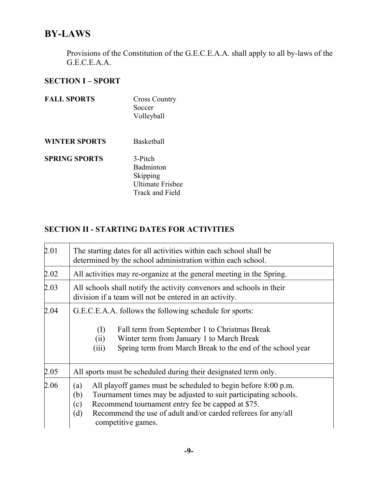# **BY-LAWS**

Provisions of the Constitution of the G.E.C.E.A.A. shall apply to all by-laws of the G.E.C.E.A.A.

## **SECTION I – SPORT**

| <b>FALL SPORTS</b>   | <b>Cross Country</b><br>Soccer<br>Volleyball                                          |
|----------------------|---------------------------------------------------------------------------------------|
| <b>WINTER SPORTS</b> | Basketball                                                                            |
| <b>SPRING SPORTS</b> | 3-Pitch<br><b>Badminton</b><br>Skipping<br><b>Ultimate Frisbee</b><br>Track and Field |

### **SECTION II - STARTING DATES FOR ACTIVITIES**

| 2.01 | The starting dates for all activities within each school shall be<br>determined by the school administration within each school.                                                                                                                                                                         |
|------|----------------------------------------------------------------------------------------------------------------------------------------------------------------------------------------------------------------------------------------------------------------------------------------------------------|
| 2.02 | All activities may re-organize at the general meeting in the Spring.                                                                                                                                                                                                                                     |
| 2.03 | All schools shall notify the activity convenors and schools in their<br>division if a team will not be entered in an activity.                                                                                                                                                                           |
| 2.04 | G.E.C.E.A.A. follows the following schedule for sports:<br>Fall term from September 1 to Christmas Break<br>(I)<br>Winter term from January 1 to March Break<br>(ii)<br>Spring term from March Break to the end of the school year<br>(iii)                                                              |
| 2.05 | All sports must be scheduled during their designated term only.                                                                                                                                                                                                                                          |
| 2.06 | All playoff games must be scheduled to begin before 8:00 p.m.<br>(a)<br>Tournament times may be adjusted to suit participating schools.<br>(b)<br>Recommend tournament entry fee be capped at \$75.<br>(c)<br>Recommend the use of adult and/or carded referees for any/all<br>(d)<br>competitive games. |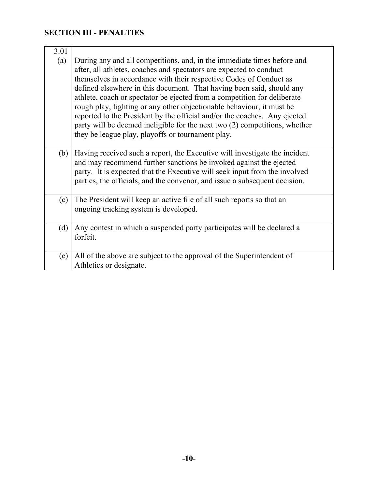# **SECTION III - PENALTIES**

| 3.01 |                                                                                                                                                                                                                                                                                                                                                                                                                                                                                                                                                                                                                                                                    |
|------|--------------------------------------------------------------------------------------------------------------------------------------------------------------------------------------------------------------------------------------------------------------------------------------------------------------------------------------------------------------------------------------------------------------------------------------------------------------------------------------------------------------------------------------------------------------------------------------------------------------------------------------------------------------------|
| (a)  | During any and all competitions, and, in the immediate times before and<br>after, all athletes, coaches and spectators are expected to conduct<br>themselves in accordance with their respective Codes of Conduct as<br>defined elsewhere in this document. That having been said, should any<br>athlete, coach or spectator be ejected from a competition for deliberate<br>rough play, fighting or any other objectionable behaviour, it must be<br>reported to the President by the official and/or the coaches. Any ejected<br>party will be deemed ineligible for the next two (2) competitions, whether<br>they be league play, playoffs or tournament play. |
| (b)  | Having received such a report, the Executive will investigate the incident<br>and may recommend further sanctions be invoked against the ejected<br>party. It is expected that the Executive will seek input from the involved<br>parties, the officials, and the convenor, and issue a subsequent decision.                                                                                                                                                                                                                                                                                                                                                       |
| (c)  | The President will keep an active file of all such reports so that an<br>ongoing tracking system is developed.                                                                                                                                                                                                                                                                                                                                                                                                                                                                                                                                                     |
| (d)  | Any contest in which a suspended party participates will be declared a<br>forfeit.                                                                                                                                                                                                                                                                                                                                                                                                                                                                                                                                                                                 |
| (e)  | All of the above are subject to the approval of the Superintendent of<br>Athletics or designate.                                                                                                                                                                                                                                                                                                                                                                                                                                                                                                                                                                   |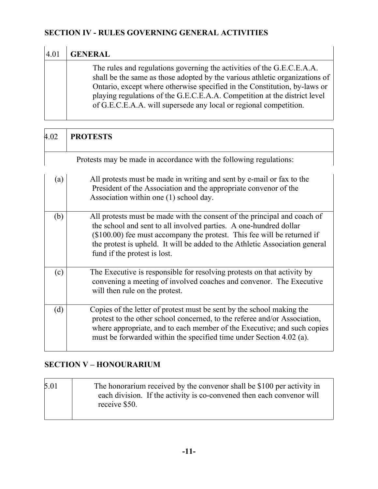## **SECTION IV - RULES GOVERNING GENERAL ACTIVITIES**

| 4.01 | <b>GENERAL</b>                                                                                                                                                                                                                                                                                                                                                                       |
|------|--------------------------------------------------------------------------------------------------------------------------------------------------------------------------------------------------------------------------------------------------------------------------------------------------------------------------------------------------------------------------------------|
|      | The rules and regulations governing the activities of the G.E.C.E.A.A.<br>shall be the same as those adopted by the various athletic organizations of<br>Ontario, except where otherwise specified in the Constitution, by-laws or<br>playing regulations of the G.E.C.E.A.A. Competition at the district level<br>of G.E.C.E.A.A. will supersede any local or regional competition. |

| 4.02 | <b>PROTESTS</b>                                                                                                                                                                                                                                                                                                                          |
|------|------------------------------------------------------------------------------------------------------------------------------------------------------------------------------------------------------------------------------------------------------------------------------------------------------------------------------------------|
|      | Protests may be made in accordance with the following regulations:                                                                                                                                                                                                                                                                       |
| (a)  | All protests must be made in writing and sent by e-mail or fax to the<br>President of the Association and the appropriate convenor of the<br>Association within one (1) school day.                                                                                                                                                      |
| (b)  | All protests must be made with the consent of the principal and coach of<br>the school and sent to all involved parties. A one-hundred dollar<br>$($100.00)$ fee must accompany the protest. This fee will be returned if<br>the protest is upheld. It will be added to the Athletic Association general<br>fund if the protest is lost. |
| (c)  | The Executive is responsible for resolving protests on that activity by<br>convening a meeting of involved coaches and convenor. The Executive<br>will then rule on the protest.                                                                                                                                                         |
| (d)  | Copies of the letter of protest must be sent by the school making the<br>protest to the other school concerned, to the referee and/or Association,<br>where appropriate, and to each member of the Executive; and such copies<br>must be forwarded within the specified time under Section 4.02 (a).                                     |

# **SECTION V – HONOURARIUM**

 $\Gamma$ 

 $\overline{1}$ 

| 5.01 | The honorarium received by the convenor shall be \$100 per activity in<br>each division. If the activity is co-convened then each convenor will<br>receive \$50. |
|------|------------------------------------------------------------------------------------------------------------------------------------------------------------------|
|------|------------------------------------------------------------------------------------------------------------------------------------------------------------------|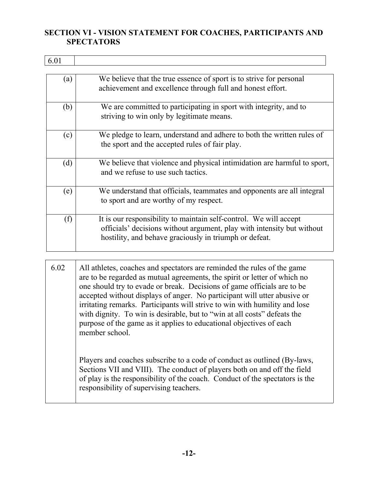#### **SECTION VI - VISION STATEMENT FOR COACHES, PARTICIPANTS AND SPECTATORS**

6.01

т

| (a) | We believe that the true essence of sport is to strive for personal<br>achievement and excellence through full and honest effort.                                                                     |
|-----|-------------------------------------------------------------------------------------------------------------------------------------------------------------------------------------------------------|
| (b) | We are committed to participating in sport with integrity, and to<br>striving to win only by legitimate means.                                                                                        |
| (c) | We pledge to learn, understand and adhere to both the written rules of<br>the sport and the accepted rules of fair play.                                                                              |
| (d) | We believe that violence and physical intimidation are harmful to sport,<br>and we refuse to use such tactics.                                                                                        |
| (e) | We understand that officials, teammates and opponents are all integral<br>to sport and are worthy of my respect.                                                                                      |
| (f) | It is our responsibility to maintain self-control. We will accept<br>officials' decisions without argument, play with intensity but without<br>hostility, and behave graciously in triumph or defeat. |

| 6.02 | All athletes, coaches and spectators are reminded the rules of the game<br>are to be regarded as mutual agreements, the spirit or letter of which no<br>one should try to evade or break. Decisions of game officials are to be<br>accepted without displays of anger. No participant will utter abusive or<br>irritating remarks. Participants will strive to win with humility and lose<br>with dignity. To win is desirable, but to "win at all costs" defeats the |
|------|-----------------------------------------------------------------------------------------------------------------------------------------------------------------------------------------------------------------------------------------------------------------------------------------------------------------------------------------------------------------------------------------------------------------------------------------------------------------------|
|      | purpose of the game as it applies to educational objectives of each<br>member school.<br>Players and coaches subscribe to a code of conduct as outlined (By-laws,<br>Sections VII and VIII). The conduct of players both on and off the field<br>of play is the responsibility of the coach. Conduct of the spectators is the<br>responsibility of supervising teachers.                                                                                              |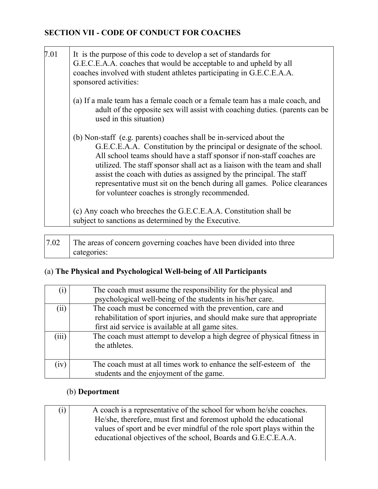## **SECTION VII - CODE OF CONDUCT FOR COACHES**

| 7.01 | It is the purpose of this code to develop a set of standards for<br>G.E.C.E.A.A. coaches that would be acceptable to and upheld by all<br>coaches involved with student athletes participating in G.E.C.E.A.A.<br>sponsored activities:                                                                                                                                                                                                                                                                    |
|------|------------------------------------------------------------------------------------------------------------------------------------------------------------------------------------------------------------------------------------------------------------------------------------------------------------------------------------------------------------------------------------------------------------------------------------------------------------------------------------------------------------|
|      | (a) If a male team has a female coach or a female team has a male coach, and<br>adult of the opposite sex will assist with coaching duties. (parents can be<br>used in this situation)                                                                                                                                                                                                                                                                                                                     |
|      | (b) Non-staff (e.g. parents) coaches shall be in-serviced about the<br>G.E.C.E.A.A. Constitution by the principal or designate of the school.<br>All school teams should have a staff sponsor if non-staff coaches are<br>utilized. The staff sponsor shall act as a liaison with the team and shall<br>assist the coach with duties as assigned by the principal. The staff<br>representative must sit on the bench during all games. Police clearances<br>for volunteer coaches is strongly recommended. |
|      | (c) Any coach who breeches the G.E.C.E.A.A. Constitution shall be<br>subject to sanctions as determined by the Executive.                                                                                                                                                                                                                                                                                                                                                                                  |

|  | The areas of concern governing coaches have been divided into three |
|--|---------------------------------------------------------------------|
|  | categories:                                                         |

# (a) **The Physical and Psychological Well-being of All Participants**

| $\left( i\right)$ | The coach must assume the responsibility for the physical and<br>psychological well-being of the students in his/her care.                                                                |
|-------------------|-------------------------------------------------------------------------------------------------------------------------------------------------------------------------------------------|
| (ii)              | The coach must be concerned with the prevention, care and<br>rehabilitation of sport injuries, and should make sure that appropriate<br>first aid service is available at all game sites. |
| (iii)             | The coach must attempt to develop a high degree of physical fitness in<br>the athletes.                                                                                                   |
| (iv)              | The coach must at all times work to enhance the self-esteem of the<br>students and the enjoyment of the game.                                                                             |

# (b) **Deportment**

| (i)                                                               | A coach is a representative of the school for whom he/she coaches.     |  |  |
|-------------------------------------------------------------------|------------------------------------------------------------------------|--|--|
| He/she, therefore, must first and foremost uphold the educational |                                                                        |  |  |
|                                                                   | values of sport and be ever mindful of the role sport plays within the |  |  |
|                                                                   | educational objectives of the school, Boards and G.E.C.E.A.A.          |  |  |
|                                                                   |                                                                        |  |  |
|                                                                   |                                                                        |  |  |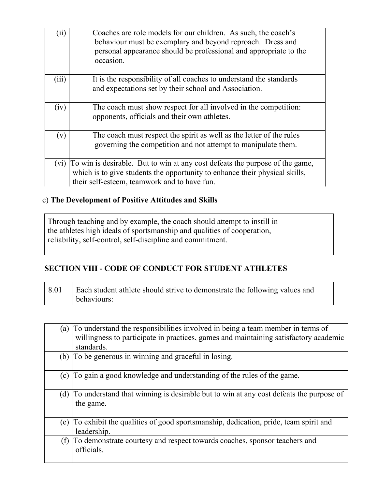| (ii)  | Coaches are role models for our children. As such, the coach's<br>behaviour must be exemplary and beyond reproach. Dress and<br>personal appearance should be professional and appropriate to the<br>occasion. |
|-------|----------------------------------------------------------------------------------------------------------------------------------------------------------------------------------------------------------------|
| (iii) | It is the responsibility of all coaches to understand the standards<br>and expectations set by their school and Association.                                                                                   |
| (iv)  | The coach must show respect for all involved in the competition:<br>opponents, officials and their own athletes.                                                                                               |
| (v)   | The coach must respect the spirit as well as the letter of the rules<br>governing the competition and not attempt to manipulate them.                                                                          |
| (vi)  | To win is desirable. But to win at any cost defeats the purpose of the game,<br>which is to give students the opportunity to enhance their physical skills,<br>their self-esteem, teamwork and to have fun.    |

### c) **The Development of Positive Attitudes and Skills**

Through teaching and by example, the coach should attempt to instill in the athletes high ideals of sportsmanship and qualities of cooperation, reliability, self-control, self-discipline and commitment.

#### **SECTION VIII - CODE OF CONDUCT FOR STUDENT ATHLETES**

| 8.01 | Each student athlete should strive to demonstrate the following values and |
|------|----------------------------------------------------------------------------|
|      | behaviours:                                                                |

| (a) | To understand the responsibilities involved in being a team member in terms of<br>willingness to participate in practices, games and maintaining satisfactory academic |  |  |
|-----|------------------------------------------------------------------------------------------------------------------------------------------------------------------------|--|--|
|     | standards.                                                                                                                                                             |  |  |
| (b) | To be generous in winning and graceful in losing.                                                                                                                      |  |  |
| (c) | To gain a good knowledge and understanding of the rules of the game.                                                                                                   |  |  |
| (d) | To understand that winning is desirable but to win at any cost defeats the purpose of<br>the game.                                                                     |  |  |
| (e) | To exhibit the qualities of good sportsmanship, dedication, pride, team spirit and<br>leadership.                                                                      |  |  |
| (f) | To demonstrate courtesy and respect towards coaches, sponsor teachers and<br>officials.                                                                                |  |  |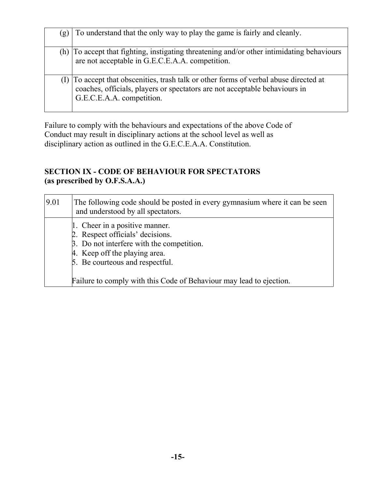| (g) | To understand that the only way to play the game is fairly and cleanly.                                                                                                                      |
|-----|----------------------------------------------------------------------------------------------------------------------------------------------------------------------------------------------|
| (h) | To accept that fighting, instigating threatening and/or other intimidating behaviours<br>are not acceptable in G.E.C.E.A.A. competition.                                                     |
|     | To accept that obscenities, trash talk or other forms of verbal abuse directed at<br>coaches, officials, players or spectators are not acceptable behaviours in<br>G.E.C.E.A.A. competition. |

Failure to comply with the behaviours and expectations of the above Code of Conduct may result in disciplinary actions at the school level as well as disciplinary action as outlined in the G.E.C.E.A.A. Constitution.

#### **SECTION IX - CODE OF BEHAVIOUR FOR SPECTATORS (as prescribed by O.F.S.A.A.)**

| 9.01 | The following code should be posted in every gymnasium where it can be seen<br>and understood by all spectators. |
|------|------------------------------------------------------------------------------------------------------------------|
|      | 1. Cheer in a positive manner.                                                                                   |
|      | 2. Respect officials' decisions.                                                                                 |
|      | $\beta$ . Do not interfere with the competition.                                                                 |
|      | 4. Keep off the playing area.                                                                                    |
|      | 5. Be courteous and respectful.                                                                                  |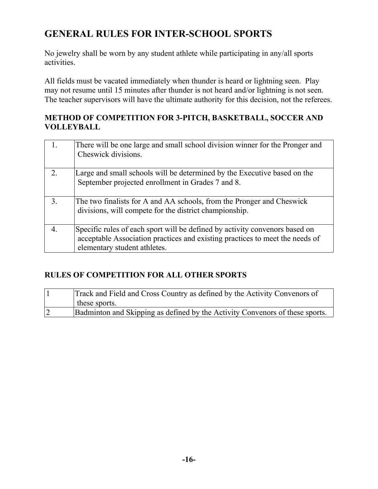# **GENERAL RULES FOR INTER-SCHOOL SPORTS**

No jewelry shall be worn by any student athlete while participating in any/all sports activities.

All fields must be vacated immediately when thunder is heard or lightning seen. Play may not resume until 15 minutes after thunder is not heard and/or lightning is not seen. The teacher supervisors will have the ultimate authority for this decision, not the referees.

#### **METHOD OF COMPETITION FOR 3-PITCH, BASKETBALL, SOCCER AND VOLLEYBALL**

|                | There will be one large and small school division winner for the Pronger and<br>Cheswick divisions.                                                                                         |
|----------------|---------------------------------------------------------------------------------------------------------------------------------------------------------------------------------------------|
| $\overline{2}$ | Large and small schools will be determined by the Executive based on the<br>September projected enrollment in Grades 7 and 8.                                                               |
| 3.             | The two finalists for A and AA schools, from the Pronger and Cheswick<br>divisions, will compete for the district championship.                                                             |
| 4.             | Specific rules of each sport will be defined by activity convenors based on<br>acceptable Association practices and existing practices to meet the needs of<br>elementary student athletes. |

#### **RULES OF COMPETITION FOR ALL OTHER SPORTS**

|   | Track and Field and Cross Country as defined by the Activity Convenors of<br>$\perp$ these sports. |
|---|----------------------------------------------------------------------------------------------------|
| 2 | Badminton and Skipping as defined by the Activity Convenors of these sports.                       |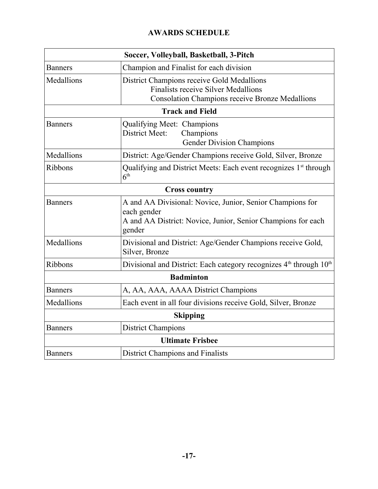## **AWARDS SCHEDULE**

|                | Soccer, Volleyball, Basketball, 3-Pitch                                                                                                            |
|----------------|----------------------------------------------------------------------------------------------------------------------------------------------------|
| <b>Banners</b> | Champion and Finalist for each division                                                                                                            |
| Medallions     | District Champions receive Gold Medallions<br><b>Finalists receive Silver Medallions</b><br><b>Consolation Champions receive Bronze Medallions</b> |
|                | <b>Track and Field</b>                                                                                                                             |
| <b>Banners</b> | Qualifying Meet: Champions<br>District Meet:<br>Champions<br><b>Gender Division Champions</b>                                                      |
| Medallions     | District: Age/Gender Champions receive Gold, Silver, Bronze                                                                                        |
| Ribbons        | Qualifying and District Meets: Each event recognizes 1 <sup>st</sup> through<br>6 <sup>th</sup>                                                    |
|                | <b>Cross country</b>                                                                                                                               |
| <b>Banners</b> | A and AA Divisional: Novice, Junior, Senior Champions for<br>each gender<br>A and AA District: Novice, Junior, Senior Champions for each<br>gender |
| Medallions     | Divisional and District: Age/Gender Champions receive Gold,<br>Silver, Bronze                                                                      |
| <b>Ribbons</b> | Divisional and District: Each category recognizes 4 <sup>th</sup> through 10 <sup>th</sup>                                                         |
|                | <b>Badminton</b>                                                                                                                                   |
| <b>Banners</b> | A, AA, AAA, AAAA District Champions                                                                                                                |
| Medallions     | Each event in all four divisions receive Gold, Silver, Bronze                                                                                      |
|                | <b>Skipping</b>                                                                                                                                    |
| <b>Banners</b> | <b>District Champions</b>                                                                                                                          |
|                | <b>Ultimate Frisbee</b>                                                                                                                            |
| <b>Banners</b> | <b>District Champions and Finalists</b>                                                                                                            |